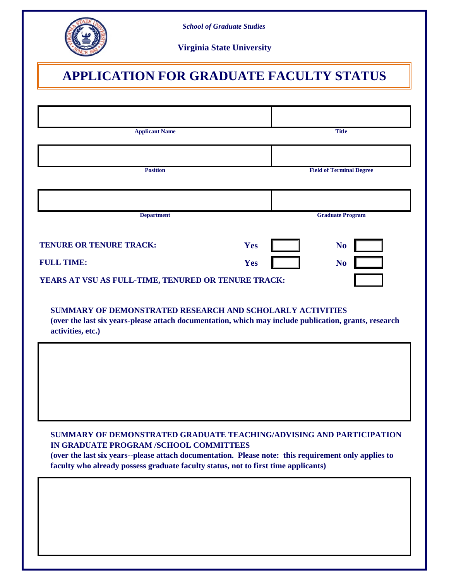

*School of Graduate Studies*

**Virginia State University**

# **APPLICATION FOR GRADUATE FACULTY STATUS**

| <b>Applicant Name</b>                                                                                                                                                                                                                                                                                        | <b>Title</b>                    |
|--------------------------------------------------------------------------------------------------------------------------------------------------------------------------------------------------------------------------------------------------------------------------------------------------------------|---------------------------------|
|                                                                                                                                                                                                                                                                                                              |                                 |
| <b>Position</b>                                                                                                                                                                                                                                                                                              | <b>Field of Terminal Degree</b> |
|                                                                                                                                                                                                                                                                                                              |                                 |
| <b>Department</b>                                                                                                                                                                                                                                                                                            | <b>Graduate Program</b>         |
| <b>TENURE OR TENURE TRACK:</b>                                                                                                                                                                                                                                                                               | Yes<br><b>No</b>                |
| <b>FULL TIME:</b>                                                                                                                                                                                                                                                                                            | Yes<br>N <sub>0</sub>           |
| YEARS AT VSU AS FULL-TIME, TENURED OR TENURE TRACK:                                                                                                                                                                                                                                                          |                                 |
| <b>SUMMARY OF DEMONSTRATED RESEARCH AND SCHOLARLY ACTIVITIES</b><br>(over the last six years-please attach documentation, which may include publication, grants, research<br>activities, etc.)                                                                                                               |                                 |
|                                                                                                                                                                                                                                                                                                              |                                 |
|                                                                                                                                                                                                                                                                                                              |                                 |
|                                                                                                                                                                                                                                                                                                              |                                 |
|                                                                                                                                                                                                                                                                                                              |                                 |
| SUMMARY OF DEMONSTRATED GRADUATE TEACHING/ADVISING AND PARTICIPATION<br>IN GRADUATE PROGRAM /SCHOOL COMMITTEES<br>(over the last six years--please attach documentation. Please note: this requirement only applies to<br>faculty who already possess graduate faculty status, not to first time applicants) |                                 |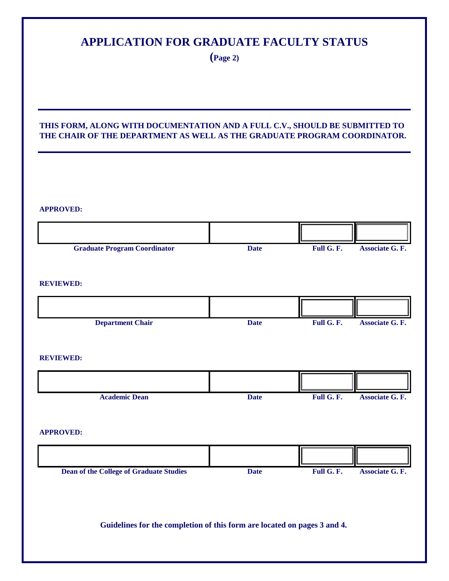# **APPLICATION FOR GRADUATE FACULTY STATUS**

**(Page 2)**

#### **THIS FORM, ALONG WITH DOCUMENTATION AND A FULL C.V., SHOULD BE SUBMITTED TO THE CHAIR OF THE DEPARTMENT AS WELL AS THE GRADUATE PROGRAM COORDINATOR.**

| <b>APPROVED:</b>                                                         |             |            |                        |
|--------------------------------------------------------------------------|-------------|------------|------------------------|
|                                                                          |             |            |                        |
| <b>Graduate Program Coordinator</b>                                      | <b>Date</b> | Full G. F. | Associate G. F.        |
| <b>REVIEWED:</b>                                                         |             |            |                        |
|                                                                          |             |            |                        |
| <b>Department Chair</b>                                                  | <b>Date</b> | Full G. F. | Associate G. F.        |
| <b>REVIEWED:</b>                                                         |             |            |                        |
|                                                                          |             |            |                        |
| <b>Academic Dean</b>                                                     | <b>Date</b> | Full G. F. | Associate G. F.        |
| <b>APPROVED:</b>                                                         |             |            |                        |
|                                                                          |             |            |                        |
| <b>Dean of the College of Graduate Studies</b>                           | <b>Date</b> | Full G. F. | <b>Associate G. F.</b> |
| Guidelines for the completion of this form are located on pages 3 and 4. |             |            |                        |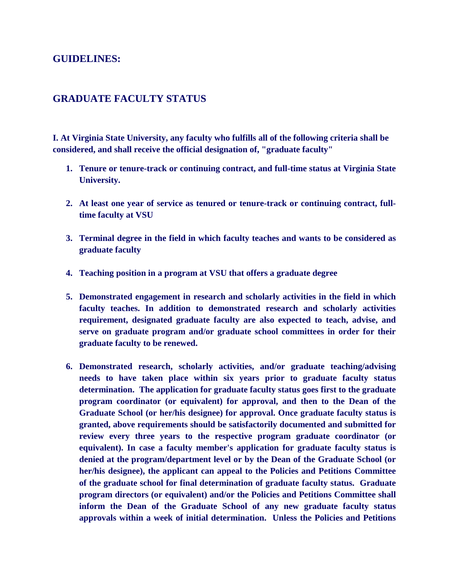## **GUIDELINES:**

### **GRADUATE FACULTY STATUS**

**I. At Virginia State University, any faculty who fulfills all of the following criteria shall be considered, and shall receive the official designation of, "graduate faculty"** 

- **1. Tenure or tenure-track or continuing contract, and full-time status at Virginia State University.**
- **2. At least one year of service as tenured or tenure-track or continuing contract, fulltime faculty at VSU**
- **3. Terminal degree in the field in which faculty teaches and wants to be considered as graduate faculty**
- **4. Teaching position in a program at VSU that offers a graduate degree**
- **5. Demonstrated engagement in research and scholarly activities in the field in which faculty teaches. In addition to demonstrated research and scholarly activities requirement, designated graduate faculty are also expected to teach, advise, and serve on graduate program and/or graduate school committees in order for their graduate faculty to be renewed.**
- **6. Demonstrated research, scholarly activities, and/or graduate teaching/advising needs to have taken place within six years prior to graduate faculty status determination. The application for graduate faculty status goes first to the graduate program coordinator (or equivalent) for approval, and then to the Dean of the Graduate School (or her/his designee) for approval. Once graduate faculty status is granted, above requirements should be satisfactorily documented and submitted for review every three years to the respective program graduate coordinator (or equivalent). In case a faculty member's application for graduate faculty status is denied at the program/department level or by the Dean of the Graduate School (or her/his designee), the applicant can appeal to the Policies and Petitions Committee of the graduate school for final determination of graduate faculty status. Graduate program directors (or equivalent) and/or the Policies and Petitions Committee shall inform the Dean of the Graduate School of any new graduate faculty status approvals within a week of initial determination. Unless the Policies and Petitions**